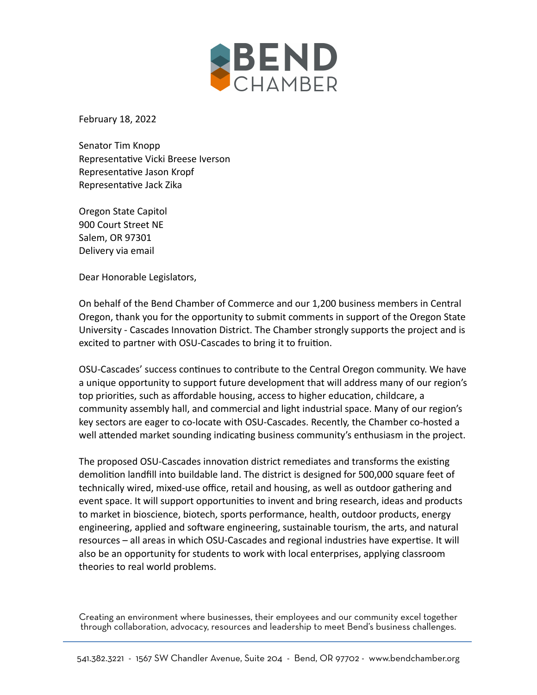

February 18, 2022

Senator Tim Knopp Representative Vicki Breese Iverson Representative Jason Kropf Representative Jack Zika

Oregon State Capitol 900 Court Street NE Salem, OR 97301 Delivery via email

Dear Honorable Legislators,

On behalf of the Bend Chamber of Commerce and our 1,200 business members in Central Oregon, thank you for the opportunity to submit comments in support of the Oregon State University - Cascades Innovation District. The Chamber strongly supports the project and is excited to partner with OSU-Cascades to bring it to fruition.

OSU-Cascades' success continues to contribute to the Central Oregon community. We have a unique opportunity to support future development that will address many of our region's top priorities, such as affordable housing, access to higher education, childcare, a community assembly hall, and commercial and light industrial space. Many of our region's key sectors are eager to co-locate with OSU-Cascades. Recently, the Chamber co-hosted a well attended market sounding indicating business community's enthusiasm in the project.

The proposed OSU-Cascades innovation district remediates and transforms the existing demolition landfill into buildable land. The district is designed for 500,000 square feet of technically wired, mixed-use office, retail and housing, as well as outdoor gathering and event space. It will support opportunities to invent and bring research, ideas and products to market in bioscience, biotech, sports performance, health, outdoor products, energy engineering, applied and software engineering, sustainable tourism, the arts, and natural resources – all areas in which OSU-Cascades and regional industries have expertise. It will also be an opportunity for students to work with local enterprises, applying classroom theories to real world problems.

Creating an environment where businesses, their employees and our community excel together through collaboration, advocacy, resources and leadership to meet Bend's business challenges.